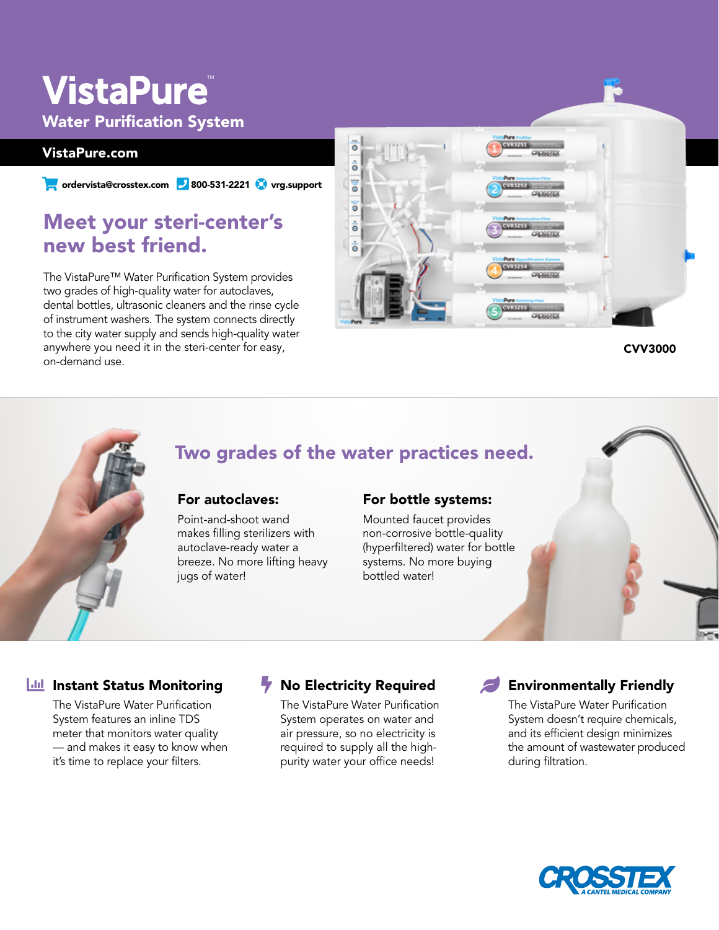# **VistaPure**

Water Purification System

## VistaPure.com

SHOPPING-com 300-531-2221 vrg.support

## Meet your steri-center's new best friend.

The VistaPure™ Water Purification System provides two grades of high-quality water for autoclaves, dental bottles, ultrasonic cleaners and the rinse cycle of instrument washers. The system connects directly to the city water supply and sends high-quality water anywhere you need it in the steri-center for easy, on-demand use.



CVV3000



## Two grades of the water practices need.

### For autoclaves:

Point-and-shoot wand makes filling sterilizers with autoclave-ready water a breeze. No more lifting heavy jugs of water!

### For bottle systems:

Mounted faucet provides non-corrosive bottle-quality (hyperfiltered) water for bottle systems. No more buying bottled water!

## Instant Status Monitoring No Electricity Required

The VistaPure Water Purification System features an inline TDS meter that monitors water quality — and makes it easy to know when it's time to replace your filters.

The VistaPure Water Purification System operates on water and air pressure, so no electricity is required to supply all the highpurity water your office needs!

## **T** No Electricity Required **Constructs** Environmentally Friendly

The VistaPure Water Purification System doesn't require chemicals, and its efficient design minimizes the amount of wastewater produced during filtration.